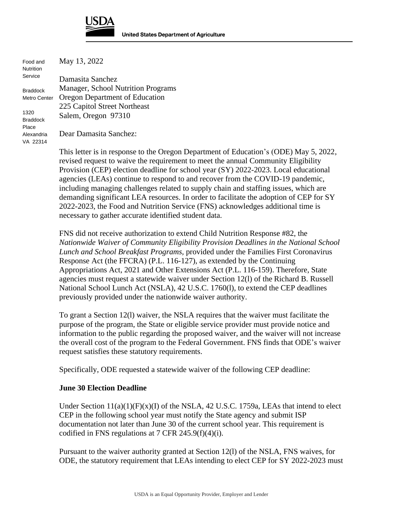

| Food and<br><b>Nutrition</b>     | May 13, 2022                       |  |  |
|----------------------------------|------------------------------------|--|--|
| Service                          | Damasita Sanchez                   |  |  |
| <b>Braddock</b>                  | Manager, School Nutrition Programs |  |  |
| Metro Center                     | Oregon Department of Education     |  |  |
|                                  | 225 Capitol Street Northeast       |  |  |
| 1320<br><b>Braddock</b><br>Place | Salem, Oregon 97310                |  |  |
| Alexandria<br>VA 22314           | Dear Damasita Sanchez:             |  |  |

This letter is in response to the Oregon Department of Education's (ODE) May 5, 2022, revised request to waive the requirement to meet the annual Community Eligibility Provision (CEP) election deadline for school year (SY) 2022-2023. Local educational agencies (LEAs) continue to respond to and recover from the COVID-19 pandemic, including managing challenges related to supply chain and staffing issues, which are demanding significant LEA resources. In order to facilitate the adoption of CEP for SY 2022-2023, the Food and Nutrition Service (FNS) acknowledges additional time is necessary to gather accurate identified student data.

FNS did not receive authorization to extend Child Nutrition Response #82, the *Nationwide Waiver of Community Eligibility Provision Deadlines in the National School Lunch and School Breakfast Programs,* provided under the Families First Coronavirus Response Act (the FFCRA) (P.L. 116-127), as extended by the Continuing Appropriations Act, 2021 and Other Extensions Act (P.L. 116-159). Therefore, State agencies must request a statewide waiver under Section 12(l) of the Richard B. Russell National School Lunch Act (NSLA), 42 U.S.C. 1760(l), to extend the CEP deadlines previously provided under the nationwide waiver authority.

To grant a Section 12(l) waiver, the NSLA requires that the waiver must facilitate the purpose of the program, the State or eligible service provider must provide notice and information to the public regarding the proposed waiver, and the waiver will not increase the overall cost of the program to the Federal Government. FNS finds that ODE's waiver request satisfies these statutory requirements.

Specifically, ODE requested a statewide waiver of the following CEP deadline:

## **June 30 Election Deadline**

Under Section  $11(a)(1)(F)(x)(I)$  of the NSLA, 42 U.S.C. 1759a, LEAs that intend to elect CEP in the following school year must notify the State agency and submit ISP documentation not later than June 30 of the current school year. This requirement is codified in FNS regulations at 7 CFR 245.9(f)(4)(i).

Pursuant to the waiver authority granted at Section 12(l) of the NSLA, FNS waives, for ODE, the statutory requirement that LEAs intending to elect CEP for SY 2022-2023 must